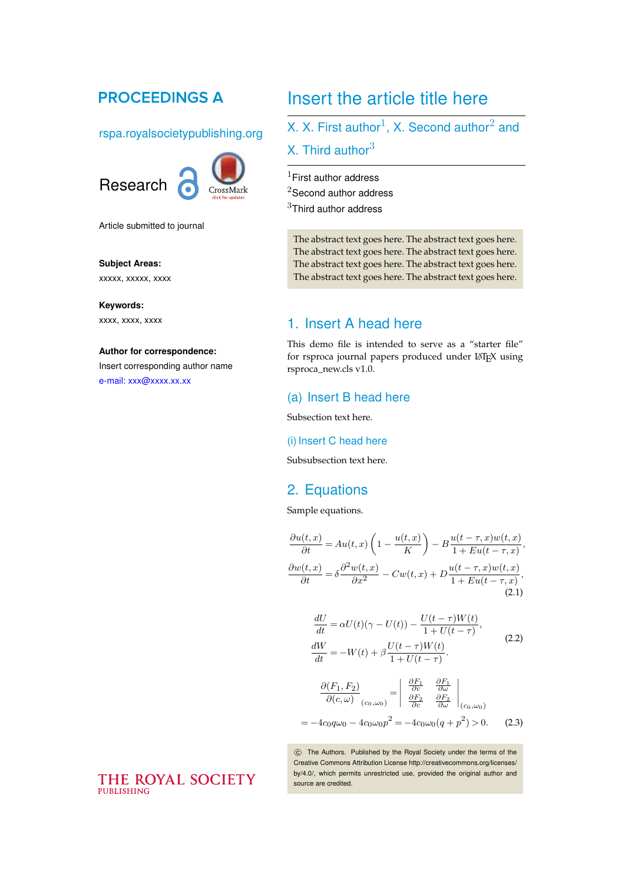## **PROCEEDINGS A**

### rspa.royalsocietypublishing.org



Article submitted to journal

## **Subject Areas:**

xxxxx, xxxxx, xxxx

**Keywords:** xxxx, xxxx, xxxx

#### **Author for correspondence:**

Insert corresponding author name [e-mail: xxx@xxxx.xx.xx](mailto:xxx@xxxx.xx.xx)

# Insert the article title here

## X. X. First author<sup>1</sup>, X. Second author<sup>2</sup> and X. Third author $3$

 $1$ First author address

<sup>2</sup>Second author address

 $3$ Third author address

The abstract text goes here. The abstract text goes here. The abstract text goes here. The abstract text goes here. The abstract text goes here. The abstract text goes here. The abstract text goes here. The abstract text goes here.

## 1. Insert A head here

This demo file is intended to serve as a "starter file" for rsproca journal papers produced under LATEX using rsproca\_new.cls v1.0.

## (a) Insert B head here

Subsection text here.

#### (i) Insert C head here

Subsubsection text here.

## 2. Equations

Sample equations.

$$
\frac{\partial u(t,x)}{\partial t} = Au(t,x) \left( 1 - \frac{u(t,x)}{K} \right) - B \frac{u(t-\tau,x)w(t,x)}{1 + Eu(t-\tau,x)},
$$

$$
\frac{\partial w(t,x)}{\partial t} = \delta \frac{\partial^2 w(t,x)}{\partial x^2} - Cw(t,x) + D \frac{u(t-\tau,x)w(t,x)}{1 + Eu(t-\tau,x)},
$$
(2.1)

$$
\frac{dU}{dt} = \alpha U(t)(\gamma - U(t)) - \frac{U(t - \tau)W(t)}{1 + U(t - \tau)},
$$
\n
$$
\frac{dW}{dt} = -W(t) + \beta \frac{U(t - \tau)W(t)}{1 + U(t - \tau)}.
$$
\n(2.2)

$$
\frac{\partial(F_1, F_2)}{\partial(c, \omega)}_{(c_0, \omega_0)} = \begin{vmatrix} \frac{\partial F_1}{\partial c} & \frac{\partial F_1}{\partial \omega} \\ \frac{\partial F_2}{\partial c} & \frac{\partial F_2}{\partial \omega} \end{vmatrix}_{(c_0, \omega_0)}
$$
  
=  $-4c_0 q \omega_0 - 4c_0 \omega_0 p^2 = -4c_0 \omega_0 (q + p^2) > 0.$  (2.3)

c The Authors. Published by the Royal Society under the terms of the

Creative Commons Attribution License http://creativecommons.org/licenses/ by/4.0/, which permits unrestricted use, provided the original author and source are credited.

## THE ROYAL SOCIETY **PUBLISHING**